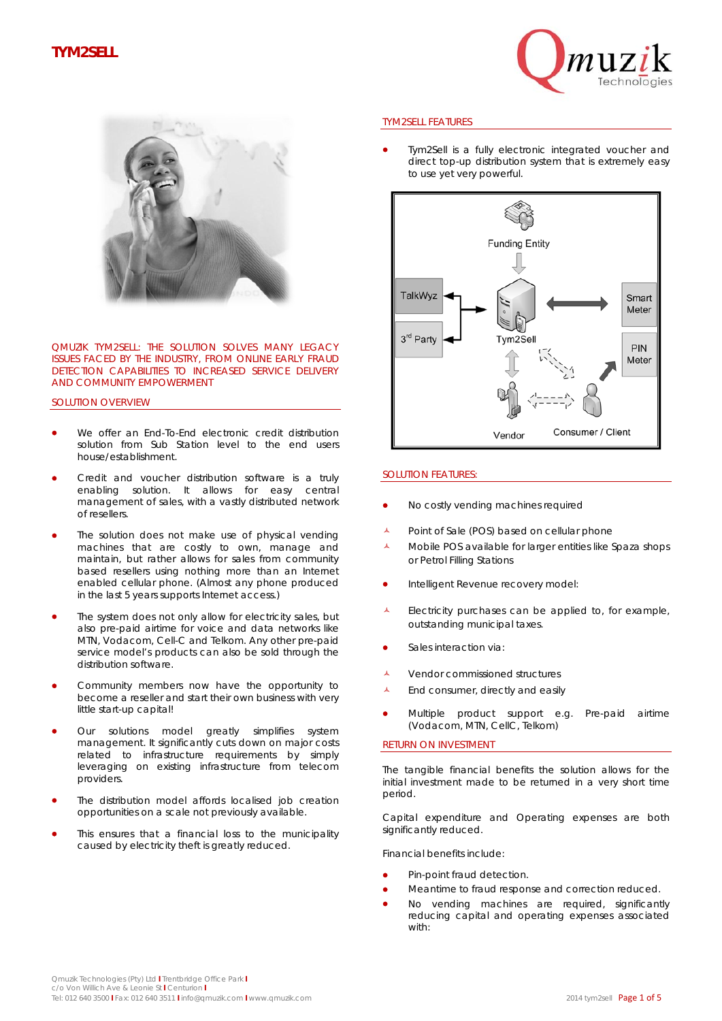# **TYM2SELL**





QMUZIK TYM2SELL: THE SOLUTION SOLVES MANY LEGACY ISSUES FACED BY THE INDUSTRY, FROM ONLINE EARLY FRAUD DETECTION CAPABILITIES TO INCREASED SERVICE DELIVERY AND COMMUNITY EMPOWERMENT

### SOLUTION OVERVIEW

- We offer an End-To-End electronic credit distribution solution from Sub Station level to the end users house/establishment.
- Credit and voucher distribution software is a truly enabling solution. It allows for easy central management of sales, with a vastly distributed network of resellers.
- The solution does not make use of physical vending machines that are costly to own, manage and maintain, but rather allows for sales from community based resellers using nothing more than an Internet enabled cellular phone. (Almost any phone produced in the last 5 years supports Internet access.)
- The system does not only allow for electricity sales, but also pre-paid airtime for voice and data networks like MTN, Vodacom, Cell-C and Telkom. Any other pre-paid service model's products can also be sold through the distribution software.
- Community members now have the opportunity to become a reseller and start their own business with very little start-up capital!
- Our solutions model greatly simplifies system management. It significantly cuts down on major costs related to infrastructure requirements by simply leveraging on existing infrastructure from telecom providers.
- The distribution model affords localised job creation opportunities on a scale not previously available.
- This ensures that a financial loss to the municipality caused by electricity theft is greatly reduced.

#### TYM2SELL FEATURES

 Tym2Sell is a fully electronic integrated voucher and direct top-up distribution system that is extremely easy to use yet very powerful.



#### SOLUTION FEATURES:

- No costly vending machines required
- Point of Sale (POS) based on cellular phone
- A Mobile POS available for larger entities like Spaza shops or Petrol Filling Stations
- **•** Intelligent Revenue recovery model:
- Electricity purchases can be applied to, for example, outstanding municipal taxes.
- Sales interaction via:
- **A** Vendor commissioned structures
- A End consumer, directly and easily
- Multiple product support e.g. Pre-paid airtime (Vodacom, MTN, CellC, Telkom)

#### RETURN ON INVESTMENT

The tangible financial benefits the solution allows for the initial investment made to be returned in a very short time period.

Capital expenditure and Operating expenses are both significantly reduced.

Financial benefits include:

- Pin-point fraud detection.
- Meantime to fraud response and correction reduced.
- No vending machines are required, significantly reducing capital and operating expenses associated with: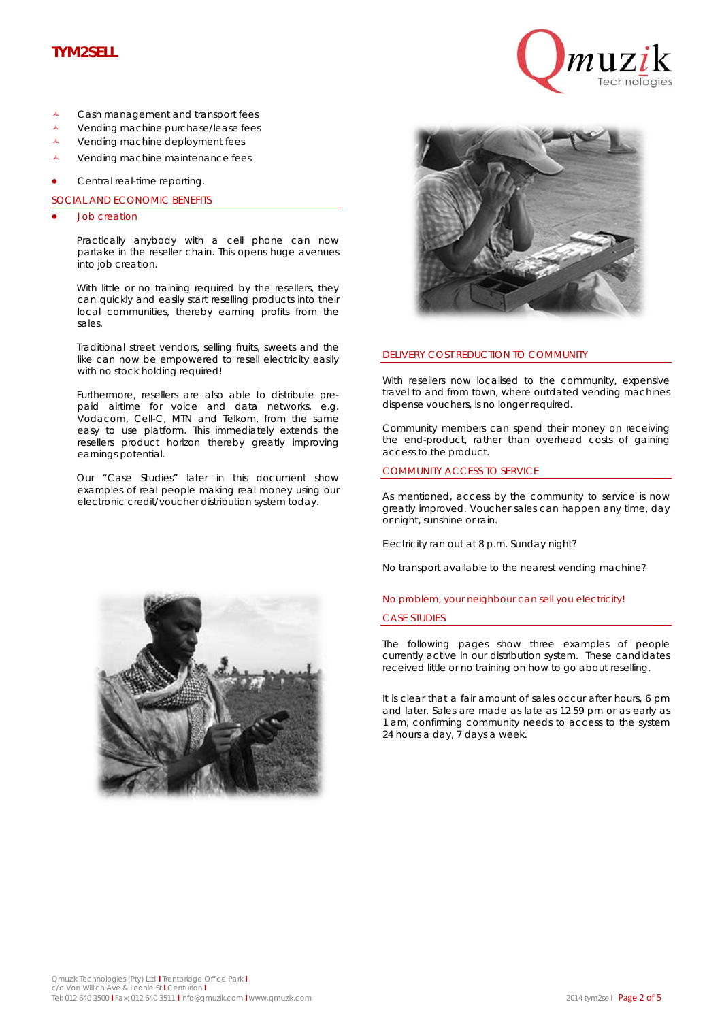# **TYM2SELL**



- A Cash management and transport fees
- Vending machine purchase/lease fees
- A Vending machine deployment fees
- La Vending machine maintenance fees
- Central real-time reporting.

SOCIAL AND ECONOMIC BENEFITS

Job creation

Practically anybody with a cell phone can now partake in the reseller chain. This opens huge avenues into job creation.

With little or no training required by the resellers, they can quickly and easily start reselling products into their local communities, thereby earning profits from the sales.

Traditional street vendors, selling fruits, sweets and the like can now be empowered to resell electricity easily with no stock holding required!

Furthermore, resellers are also able to distribute prepaid airtime for voice and data networks, e.g. Vodacom, Cell-C, MTN and Telkom, from the same easy to use platform. This immediately extends the resellers product horizon thereby greatly improving earnings potential.

Our "Case Studies" later in this document show examples of real people making real money using our electronic credit/voucher distribution system today.





#### DELIVERY COST REDUCTION TO COMMUNITY

With resellers now localised to the community, expensive travel to and from town, where outdated vending machines dispense vouchers, is no longer required.

Community members can spend their money on receiving the end-product, rather than overhead costs of gaining access to the product.

#### COMMUNITY ACCESS TO SERVICE

As mentioned, access by the community to service is now greatly improved. Voucher sales can happen any time, day or night, sunshine or rain.

Electricity ran out at 8 p.m. Sunday night?

No transport available to the nearest vending machine?

## No problem, your neighbour can sell you electricity! CASE STUDIES

The following pages show three examples of people currently active in our distribution system. These candidates received little or no training on how to go about reselling.

It is clear that a fair amount of sales occur after hours, 6 pm and later. Sales are made as late as 12.59 pm or as early as 1 am, confirming community needs to access to the system 24 hours a day, 7 days a week.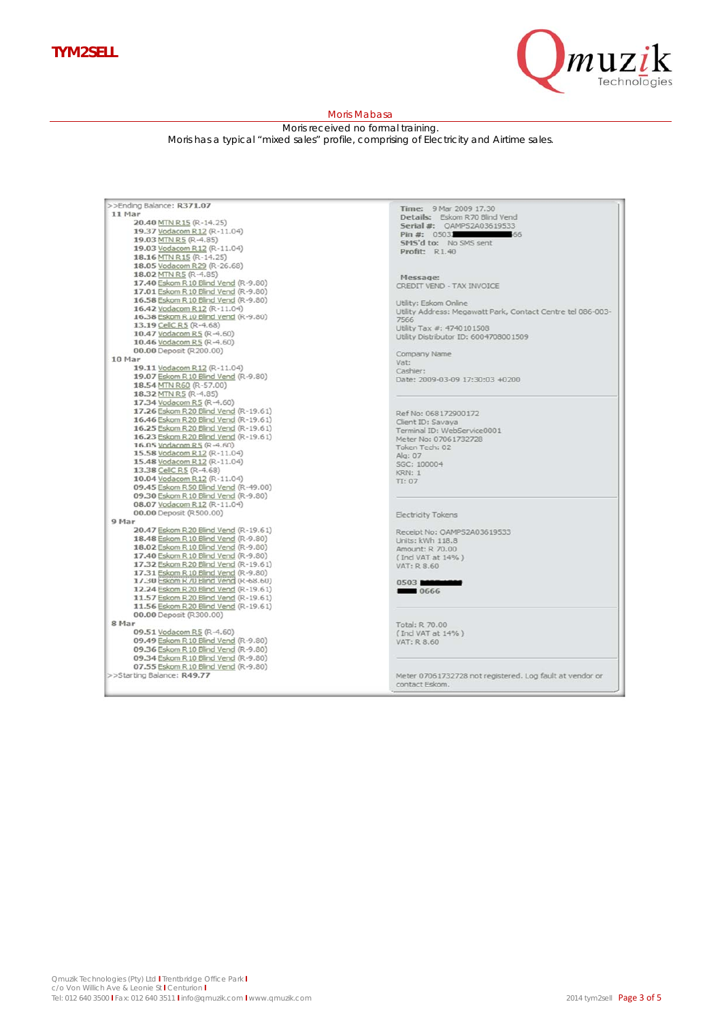

#### Moris Mabasa

Moris received no formal training.

Moris has a typical "mixed sales" profile, comprising of Electricity and Airtime sales.

| >>Ending Balance: R371.07                                                    | Time: 9 Mar 2009 17,30                                              |
|------------------------------------------------------------------------------|---------------------------------------------------------------------|
| 11 Mar                                                                       | Details: Eskom R70 Blind Vend                                       |
| 20.40 MTN R15 (R-14.25)                                                      | Serial #: OAMPS2A03619533                                           |
| 19.37 Vodacom R12 (R-11.04)<br>19.03 MTN R5 (R-4.85)                         | Pin #: 05031<br>$-66$                                               |
| 19.03 Vodacom R12 (R-11.04)                                                  | SMS'd to: No SMS sent                                               |
| 18.16 MTN R15 (R-14.25)                                                      | Profit: R1.40                                                       |
| 18.05 Vodacom R29 (R-26.68)                                                  |                                                                     |
| 18.02 MTN R5 (R-4.85)                                                        |                                                                     |
| 17.40 Eskom R 10 Blind Vend (R-9.80)                                         | Message:                                                            |
| 17.01 Eskom R 10 Blind Vend (R-9.80)                                         | CREDIT VEND - TAX INVOICE                                           |
| 16.58 Eskom R 10 Blind Vend (R-9.80)                                         |                                                                     |
| 16.42 Vodacom R12 (R-11.04)                                                  | Utility: Eskom Online                                               |
| 16.38 Eskom R 10 Blind Vend (R-9.80)                                         | Utility Address: Megawatt Park, Contact Centre tel 086-003-<br>7566 |
| 13.19 CellC R5 (R-4.68)                                                      | Utility Tax #: 4740101508                                           |
| 10.47 Vodacom R5 (R-4.60)                                                    | Utility Distributor ID: 6004708001509                               |
| 10.46 Vodacom R5 (R-4.60)                                                    |                                                                     |
| 00.00 Deposit (R200.00)                                                      | Company Name                                                        |
| 10 Mar                                                                       | Vat:                                                                |
| 19.11 Vodacom R12 (R-11.04)                                                  | Cashier:                                                            |
| 19.07 Eskom R 10 Blind Vend (R-9.80)                                         | Date: 2009-03-09 17:30:03 +0200                                     |
| 18.54 MTN R60 (R-57.00)                                                      |                                                                     |
| 18.32 MTN R5 (R-4.85)                                                        |                                                                     |
| 17.34 Vodacom R5 (R-4.60)                                                    |                                                                     |
| 17.26 Eskom R20 Blind Vend (R-19.61)                                         | Ref No: 068172900172                                                |
| 16.46 Eskom R20 Blind Vend (R-19.61)                                         | Client ID: Savaya                                                   |
| 16.25 Eskom R20 Blind Vend (R-19.61)                                         | Terminal ID: WebService0001                                         |
| 16.23 Eskom R20 Blind Vend (R-19.61)                                         | Meter No: 07061732728                                               |
| 16.05 Vodacom R5 (R-4.60)                                                    | Token Tech: 02                                                      |
| 15.58 Vodacom R12 (R-11.04)                                                  | Alg: 07                                                             |
| 15.48 Vodacom R12 (R-11.04)                                                  | SGC: 100004                                                         |
| 13.38 CellC R5 (R-4.68)                                                      | <b>KRN: 1</b>                                                       |
| 10.04 Vodacom R12 (R-11.04)                                                  | TI: 07                                                              |
| 09.45 Eskom R50 Blind Vend (R-49.00)<br>09.30 Eskom R 10 Blind Vend (R-9.80) |                                                                     |
| 08.07 Vodacom R12 (R-11.04)                                                  |                                                                     |
| 00.00 Deposit (R500.00)                                                      |                                                                     |
| 9 Mar                                                                        | <b>Electricity Tokens</b>                                           |
| 20.47 Eskom R20 Blind Vend (R-19.61)                                         |                                                                     |
| 18.48 Eskom R 10 Blind Vend (R-9.80)                                         | Receipt No: OAMPS2A03619533                                         |
| 18.02 Eskom R 10 Blind Vend (R-9.80)                                         | Units: kWh 118.8                                                    |
| 17.40 Eskom R 10 Blind Vend (R-9.80)                                         | Amount: R 70.00                                                     |
| 17.32 Eskom R20 Blind Vend (R-19.61)                                         | (Ind VAT at 14%)                                                    |
| 17.31 Eskom R 10 Blind Vend (R-9.80)                                         | VAT: R 8.60                                                         |
| 17.30 Eskom R70 Blind Vend (R-68.60)                                         | 0503 8000 1000                                                      |
| 12.24 Eskom R20 Blind Vend (R-19.61)                                         | 888 0666                                                            |
| 11.57 Eskom R20 Blind Vend (R-19.61)                                         |                                                                     |
| 11.56 Eskom R20 Blind Vend (R-19.61)                                         |                                                                     |
| 00.00 Deposit (R300.00)                                                      |                                                                     |
| 8 Mar                                                                        | Total: R 70.00                                                      |
| 09.51 Vodacom R5 (R-4.60)                                                    | (Ind VAT at 14%)                                                    |
| 09.49 Eskom R 10 Blind Vend (R-9.80)                                         | VAT: R 8.60                                                         |
| 09.36 Eskom R 10 Blind Vend (R-9.80)                                         |                                                                     |
| 09.34 Eskom R 10 Blind Vend (R-9.80)                                         |                                                                     |
| 07.55 Eskom R 10 Blind Vend (R-9.80)                                         |                                                                     |
| >>Starting Balance: R49.77                                                   | Meter 07061732728 not registered. Log fault at vendor or            |
|                                                                              | contact Eskom.                                                      |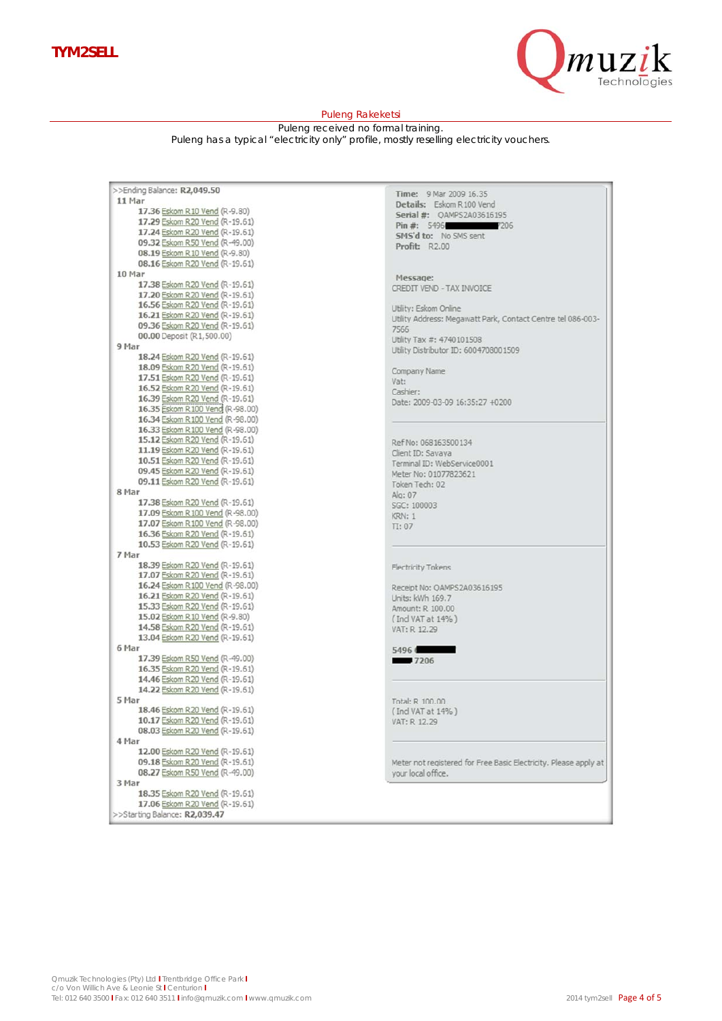

#### Puleng Rakeketsi

Puleng received no formal training. Puleng has a typical "electricity only" profile, mostly reselling electricity vouchers.

| >>Ending Balance: R2,049.50      |
|----------------------------------|
| 11 Mar                           |
| 17.36 Eskom R 10 Vend (R-9.80)   |
| 17.29 Eskom R20 Vend (R-19.61)   |
|                                  |
| 17.24 Eskom R20 Vend (R-19.61)   |
| 09.32 Eskom R50 Vend (R-49.00)   |
| 08.19 Eskom R 10 Vend (R-9.80)   |
| 08.16 Eskom R20 Vend (R-19.61)   |
| 10 Mar                           |
| 17.38 Eskom R20 Vend (R-19.61)   |
| 17.20 Eskom R20 Vend (R-19.61)   |
| 16.56 Eskom R20 Vend (R-19.61)   |
|                                  |
| 16.21 Eskom R20 Vend (R-19.61)   |
| 09.36 Eskom R20 Vend (R-19.61)   |
| 00.00 Deposit (R1,500.00)        |
| 9 Mar                            |
| 18.24 Eskom R20 Vend (R-19.61)   |
| 18.09 Eskom R20 Vend (R-19.61)   |
| 17.51 Eskom R20 Vend (R-19.61)   |
|                                  |
| 16.52 Eskom R20 Vend (R-19.61)   |
| 16.39 Eskom R20 Vend (R-19.61)   |
| 16.35 Eskom R100 Vend (R-98.00)  |
| 16.34 Eskom R 100 Vend (R-98.00) |
| 16.33 Eskom R100 Vend (R-98.00)  |
| 15.12 Eskom R20 Vend (R-19.61)   |
| 11.19 Eskom R20 Vend (R-19.61)   |
|                                  |
| 10.51 Eskom R20 Vend (R-19.61)   |
| 09.45 Eskom R20 Vend (R-19.61)   |
| 09.11 Eskom R20 Vend (R-19.61)   |
| 8 Mar                            |
| 17.38 Eskom R20 Vend (R-19.61)   |
| 17.09 Eskom R 100 Vend (R-98.00) |
| 17.07 Eskom R 100 Vend (R-98.00) |
| 16.36 Eskom R20 Vend (R-19.61)   |
| 10.53 Eskom R20 Vend (R-19.61)   |
| 7 Mar                            |
|                                  |
| 18.39 Eskom R20 Vend (R-19.61)   |
| 17.07 Eskom R20 Vend (R-19.61)   |
| 16.24 Eskom R 100 Vend (R-98.00) |
| 16.21 Eskom R20 Vend (R-19.61)   |
| 15.33 Eskom R20 Vend (R-19.61)   |
| 15.02 Eskom R10 Vend (R-9.80)    |
| 14.58 Eskom R20 Vend (R-19.61)   |
| 13.04 Eskom R20 Vend (R-19.61)   |
| 6 Mar                            |
|                                  |
| 17.39 Eskom R50 Vend (R-49.00)   |
| 16.35 Eskom R20 Vend (R-19.61)   |
| 14.46 Eskom R20 Vend (R-19.61)   |
| 14.22 Eskom R20 Vend (R-19.61)   |
| 5 Mar                            |
| 18.46 Eskom R20 Vend (R-19.61)   |
| 10.17 Eskom R20 Vend (R-19.61)   |
| 08.03 Eskom R20 Vend (R-19.61)   |
|                                  |
| 4 Mar                            |
| 12.00 Eskom R20 Vend (R-19.61)   |
| 09.18 Eskom R20 Vend (R-19.61)   |
| 08.27 Eskom R50 Vend (R-49.00)   |
| 3 Mar                            |
| 18.35 Eskom R20 Vend (R-19.61)   |
| 17.06 Eskom R20 Vend (R-19.61)   |
| >>Starting Balance: R2,039.47    |
|                                  |

Time: 9 Mar 2009 16.35 Details: Eskom R100 Vend Serial #: QAMPS2A03616195 Pin #: 5496 7206 Profit: R2.00

Message: CREDIT VEND - TAX INVOICE

Utility: Eskom Online Utility Address: Megawatt Park, Contact Centre tel 086-003-7566 Utility Tax #: 4740101508 Utility Distributor ID: 6004708001509

Company Name Vat: Cashier: Date: 2009-03-09 16:35:27 +0200

Ref No: 068163500134 Client ID: Savaya Terminal ID: WebService0001 Meter No: 01077823621 Token Tech: 02 Alg: 07 SGC: 100003 KRN: 1  $\Pi: 07$ 

Electricity Tokens

Receipt No: QAMPS2A03616195<br>Units: kWh 169.7 Amount: R 100.00 (Ind VAT at 14%) VAT: R 12.29

5496  $7206$ 

Total: R 100.00 (Ind VAT at 14%) VAT: R 12.29

Meter not registered for Free Basic Electricity. Please apply at your local office.